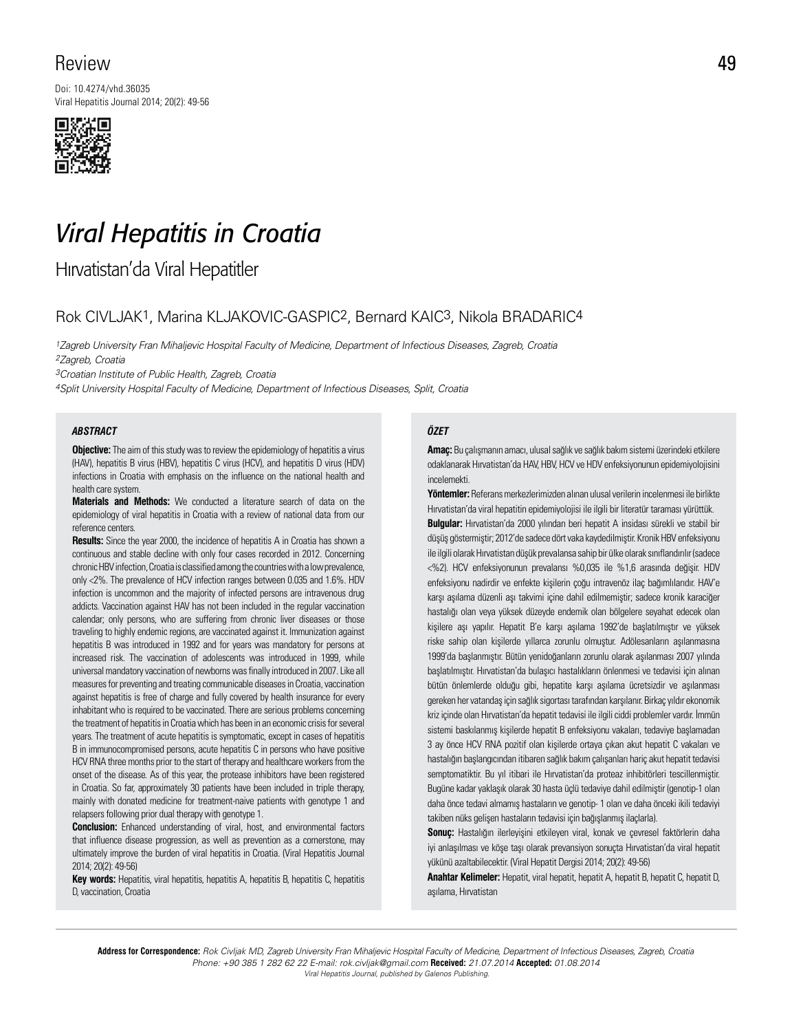## Review

Doi: 10.4274/vhd.36035 Viral Hepatitis Journal 2014; 20(2): 49-56



# *Viral Hepatitis in Croatia*

Hırvatistan'da Viral Hepatitler

### Rok CIVLJAK1, Marina KLJAKOVIC-GASPIC2, Bernard KAIC3, Nikola BRADARIC4

1Zagreb University Fran Mihaljevic Hospital Faculty of Medicine, Department of Infectious Diseases, Zagreb, Croatia 2Zagreb, Croatia

3Croatian Institute of Public Health, Zagreb, Croatia

4Split University Hospital Faculty of Medicine, Department of Infectious Diseases, Split, Croatia

#### *ABSTRACT ÖZET*

**Objective:** The aim of this study was to review the epidemiology of hepatitis a virus (HAV), hepatitis B virus (HBV), hepatitis C virus (HCV), and hepatitis D virus (HDV) infections in Croatia with emphasis on the influence on the national health and health care system.

**Materials and Methods:** We conducted a literature search of data on the epidemiology of viral hepatitis in Croatia with a review of national data from our reference centers.

**Results:** Since the year 2000, the incidence of hepatitis A in Croatia has shown a continuous and stable decline with only four cases recorded in 2012. Concerning chronic HBV infection, Croatia is classified among the countries with a low prevalence, only <2%. The prevalence of HCV infection ranges between 0.035 and 1.6%. HDV infection is uncommon and the majority of infected persons are intravenous drug addicts. Vaccination against HAV has not been included in the regular vaccination calendar; only persons, who are suffering from chronic liver diseases or those traveling to highly endemic regions, are vaccinated against it. Immunization against hepatitis B was introduced in 1992 and for years was mandatory for persons at increased risk. The vaccination of adolescents was introduced in 1999, while universal mandatory vaccination of newborns was finally introduced in 2007. Like all measures for preventing and treating communicable diseases in Croatia, vaccination against hepatitis is free of charge and fully covered by health insurance for every inhabitant who is required to be vaccinated. There are serious problems concerning the treatment of hepatitis in Croatia which has been in an economic crisis for several years. The treatment of acute hepatitis is symptomatic, except in cases of hepatitis B in immunocompromised persons, acute hepatitis C in persons who have positive HCV RNA three months prior to the start of therapy and healthcare workers from the onset of the disease. As of this year, the protease inhibitors have been registered in Croatia. So far, approximately 30 patients have been included in triple therapy, mainly with donated medicine for treatment-naive patients with genotype 1 and relapsers following prior dual therapy with genotype 1.

**Conclusion:** Enhanced understanding of viral, host, and environmental factors that influence disease progression, as well as prevention as a cornerstone, may ultimately improve the burden of viral hepatitis in Croatia. (Viral Hepatitis Journal 2014; 20(2): 49-56)

**Key words:** Hepatitis, viral hepatitis, hepatitis A, hepatitis B, hepatitis C, hepatitis D, vaccination, Croatia

**Amaç:** Bu çalışmanın amacı, ulusal sağlık ve sağlık bakım sistemi üzerindeki etkilere odaklanarak Hırvatistan'da HAV, HBV, HCV ve HDV enfeksiyonunun epidemiyolojisini incelemekti.

**Yöntemler:** Referans merkezlerimizden alınan ulusal verilerin incelenmesi ile birlikte Hırvatistan'da viral hepatitin epidemiyolojisi ile ilgili bir literatür taraması yürüttük. **Bulgular:** Hırvatistan'da 2000 yılından beri hepatit A insidası sürekli ve stabil bir düşüş göstermiştir; 2012'de sadece dört vaka kaydedilmiştir. Kronik HBV enfeksiyonu ile ilgili olarak Hırvatistan düşük prevalansa sahip bir ülke olarak sınıflandırılır (sadece <%2). HCV enfeksiyonunun prevalansı %0,035 ile %1,6 arasında değişir. HDV enfeksiyonu nadirdir ve enfekte kişilerin çoğu intravenöz ilaç bağımlılarıdır. HAV'e karşı aşılama düzenli aşı takvimi içine dahil edilmemiştir; sadece kronik karaciğer hastalığı olan veya yüksek düzeyde endemik olan bölgelere seyahat edecek olan kişilere aşı yapılır. Hepatit B'e karşı aşılama 1992'de başlatılmıştır ve yüksek riske sahip olan kişilerde yıllarca zorunlu olmuştur. Adölesanların aşılanmasına 1999'da başlanmıştır. Bütün yenidoğanların zorunlu olarak aşılanması 2007 yılında başlatılmıştır. Hırvatistan'da bulaşıcı hastalıkların önlenmesi ve tedavisi için alınan bütün önlemlerde olduğu gibi, hepatite karşı aşılama ücretsizdir ve aşılanması gereken her vatandaş için sağlık sigortası tarafından karşılanır. Birkaç yıldır ekonomik kriz içinde olan Hırvatistan'da hepatit tedavisi ile ilgili ciddi problemler vardır. İmmün sistemi baskılanmış kişilerde hepatit B enfeksiyonu vakaları, tedaviye başlamadan 3 ay önce HCV RNA pozitif olan kişilerde ortaya çıkan akut hepatit C vakaları ve hastalığın başlangıcından itibaren sağlık bakım çalışanları hariç akut hepatit tedavisi semptomatiktir. Bu yıl itibari ile Hırvatistan'da proteaz inhibitörleri tescillenmiştir. Bugüne kadar yaklaşık olarak 30 hasta üçlü tedaviye dahil edilmiştir (genotip-1 olan daha önce tedavi almamış hastaların ve genotip- 1 olan ve daha önceki ikili tedaviyi takiben nüks gelişen hastaların tedavisi için bağışlanmış ilaçlarla).

**Sonuç:** Hastalığın ilerleyişini etkileyen viral, konak ve çevresel faktörlerin daha iyi anlaşılması ve köşe taşı olarak prevansiyon sonuçta Hırvatistan'da viral hepatit yükünü azaltabilecektir. (Viral Hepatit Dergisi 2014; 20(2): 49-56)

**Anahtar Kelimeler:** Hepatit, viral hepatit, hepatit A, hepatit B, hepatit C, hepatit D, aşılama, Hırvatistan

**Address for Correspondence:** Rok Civljak MD, Zagreb University Fran Mihaljevic Hospital Faculty of Medicine, Department of Infectious Diseases, Zagreb, Croatia Phone: +90 385 1 282 62 22 E-mail: rok.civljak@gmail.com **Received:** 21.07.2014 **Accepted:** 01.08.2014 Viral Hepatitis Journal, published by Galenos Publishing.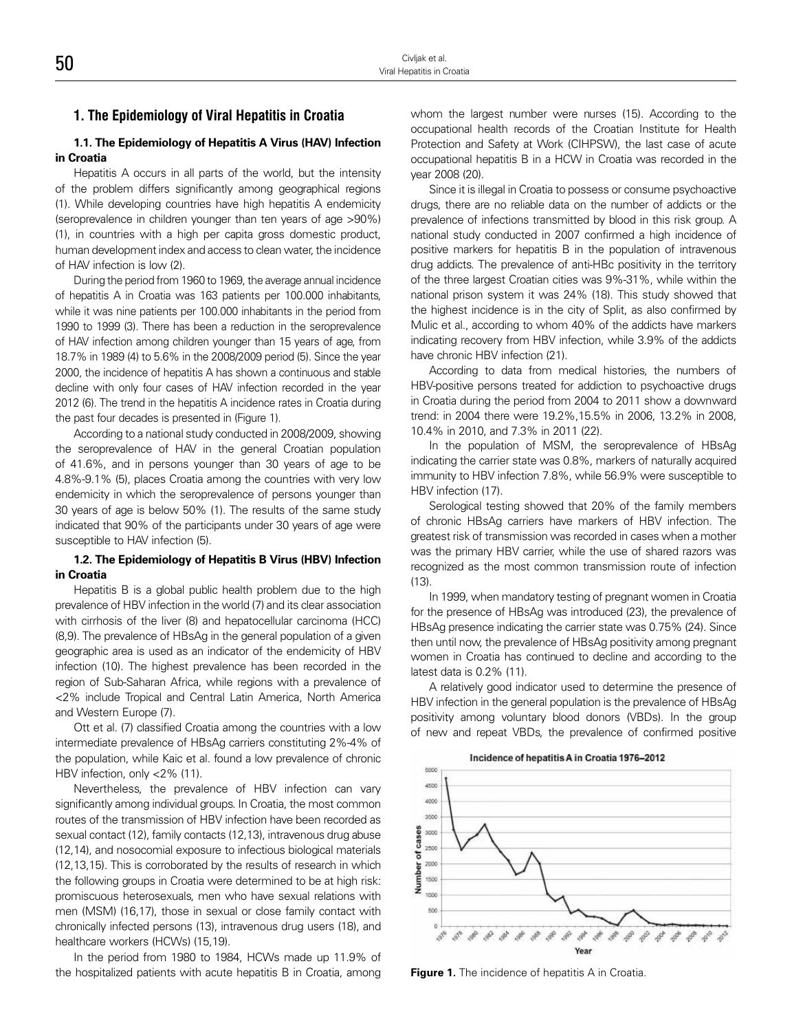#### **1. The Epidemiology of Viral Hepatitis in Croatia**

#### **1.1. The Epidemiology of Hepatitis A Virus (HAV) Infection in Croatia**

Hepatitis A occurs in all parts of the world, but the intensity of the problem differs significantly among geographical regions (1). While developing countries have high hepatitis A endemicity (seroprevalence in children younger than ten years of age >90%) (1), in countries with a high per capita gross domestic product, human development index and access to clean water, the incidence of HAV infection is low (2).

During the period from 1960 to 1969, the average annual incidence of hepatitis A in Croatia was 163 patients per 100.000 inhabitants, while it was nine patients per 100.000 inhabitants in the period from 1990 to 1999 (3). There has been a reduction in the seroprevalence of HAV infection among children younger than 15 years of age, from 18.7% in 1989 (4) to 5.6% in the 2008/2009 period (5). Since the year 2000, the incidence of hepatitis A has shown a continuous and stable decline with only four cases of HAV infection recorded in the year 2012 (6). The trend in the hepatitis A incidence rates in Croatia during the past four decades is presented in (Figure 1).

According to a national study conducted in 2008/2009, showing the seroprevalence of HAV in the general Croatian population of 41.6%, and in persons younger than 30 years of age to be 4.8%-9.1% (5), places Croatia among the countries with very low endemicity in which the seroprevalence of persons younger than 30 years of age is below 50% (1). The results of the same study indicated that 90% of the participants under 30 years of age were susceptible to HAV infection (5).

#### **1.2. The Epidemiology of Hepatitis B Virus (HBV) Infection in Croatia**

Hepatitis B is a global public health problem due to the high prevalence of HBV infection in the world (7) and its clear association with cirrhosis of the liver (8) and hepatocellular carcinoma (HCC) (8,9). The prevalence of HBsAg in the general population of a given geographic area is used as an indicator of the endemicity of HBV infection (10). The highest prevalence has been recorded in the region of Sub-Saharan Africa, while regions with a prevalence of <2% include Tropical and Central Latin America, North America and Western Europe (7).

Ott et al. (7) classified Croatia among the countries with a low intermediate prevalence of HBsAg carriers constituting 2%-4% of the population, while Kaic et al. found a low prevalence of chronic HBV infection, only <2% (11).

Nevertheless, the prevalence of HBV infection can vary significantly among individual groups. In Croatia, the most common routes of the transmission of HBV infection have been recorded as sexual contact (12), family contacts (12,13), intravenous drug abuse (12,14), and nosocomial exposure to infectious biological materials (12,13,15). This is corroborated by the results of research in which the following groups in Croatia were determined to be at high risk: promiscuous heterosexuals, men who have sexual relations with men (MSM) (16,17), those in sexual or close family contact with chronically infected persons (13), intravenous drug users (18), and healthcare workers (HCWs) (15,19).

In the period from 1980 to 1984, HCWs made up 11.9% of the hospitalized patients with acute hepatitis B in Croatia, among

whom the largest number were nurses (15). According to the occupational health records of the Croatian Institute for Health Protection and Safety at Work (CIHPSW), the last case of acute occupational hepatitis B in a HCW in Croatia was recorded in the year 2008 (20).

Since it is illegal in Croatia to possess or consume psychoactive drugs, there are no reliable data on the number of addicts or the prevalence of infections transmitted by blood in this risk group. A national study conducted in 2007 confirmed a high incidence of positive markers for hepatitis B in the population of intravenous drug addicts. The prevalence of anti-HBc positivity in the territory of the three largest Croatian cities was 9%-31%, while within the national prison system it was 24% (18). This study showed that the highest incidence is in the city of Split, as also confirmed by Mulic et al., according to whom 40% of the addicts have markers indicating recovery from HBV infection, while 3.9% of the addicts have chronic HBV infection (21).

According to data from medical histories, the numbers of HBV-positive persons treated for addiction to psychoactive drugs in Croatia during the period from 2004 to 2011 show a downward trend: in 2004 there were 19.2%,15.5% in 2006, 13.2% in 2008, 10.4% in 2010, and 7.3% in 2011 (22).

In the population of MSM, the seroprevalence of HBsAg indicating the carrier state was 0.8%, markers of naturally acquired immunity to HBV infection 7.8%, while 56.9% were susceptible to HBV infection (17).

Serological testing showed that 20% of the family members of chronic HBsAg carriers have markers of HBV infection. The greatest risk of transmission was recorded in cases when a mother was the primary HBV carrier, while the use of shared razors was recognized as the most common transmission route of infection (13).

In 1999, when mandatory testing of pregnant women in Croatia for the presence of HBsAg was introduced (23), the prevalence of HBsAg presence indicating the carrier state was 0.75% (24). Since then until now, the prevalence of HBsAg positivity among pregnant women in Croatia has continued to decline and according to the latest data is 0.2% (11).

A relatively good indicator used to determine the presence of HBV infection in the general population is the prevalence of HBsAg positivity among voluntary blood donors (VBDs). In the group of new and repeat VBDs, the prevalence of confirmed positive



**Figure 1.** The incidence of hepatitis A in Croatia.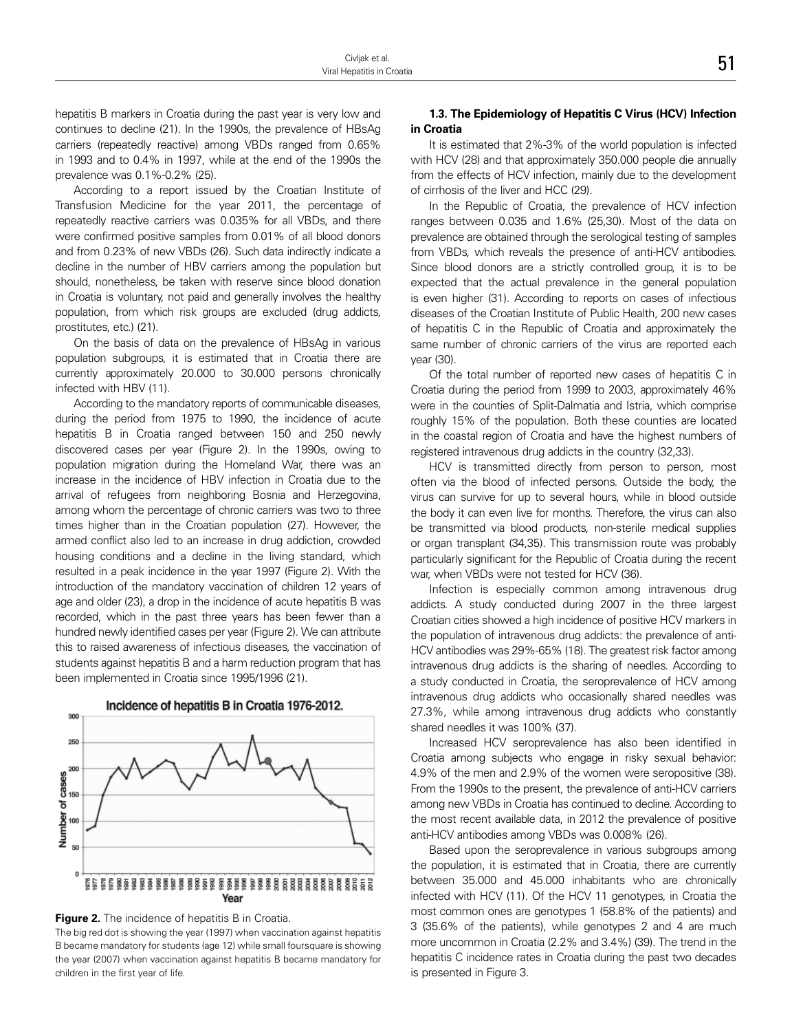hepatitis B markers in Croatia during the past year is very low and continues to decline (21). In the 1990s, the prevalence of HBsAg carriers (repeatedly reactive) among VBDs ranged from 0.65% in 1993 and to 0.4% in 1997, while at the end of the 1990s the prevalence was 0.1%-0.2% (25).

According to a report issued by the Croatian Institute of Transfusion Medicine for the year 2011, the percentage of repeatedly reactive carriers was 0.035% for all VBDs, and there were confirmed positive samples from 0.01% of all blood donors and from 0.23% of new VBDs (26). Such data indirectly indicate a decline in the number of HBV carriers among the population but should, nonetheless, be taken with reserve since blood donation in Croatia is voluntary, not paid and generally involves the healthy population, from which risk groups are excluded (drug addicts, prostitutes, etc.) (21).

On the basis of data on the prevalence of HBsAg in various population subgroups, it is estimated that in Croatia there are currently approximately 20.000 to 30.000 persons chronically infected with HBV (11).

According to the mandatory reports of communicable diseases, during the period from 1975 to 1990, the incidence of acute hepatitis B in Croatia ranged between 150 and 250 newly discovered cases per year (Figure 2). In the 1990s, owing to population migration during the Homeland War, there was an increase in the incidence of HBV infection in Croatia due to the arrival of refugees from neighboring Bosnia and Herzegovina, among whom the percentage of chronic carriers was two to three times higher than in the Croatian population (27). However, the armed conflict also led to an increase in drug addiction, crowded housing conditions and a decline in the living standard, which resulted in a peak incidence in the year 1997 (Figure 2). With the introduction of the mandatory vaccination of children 12 years of age and older (23), a drop in the incidence of acute hepatitis B was recorded, which in the past three years has been fewer than a hundred newly identified cases per year (Figure 2). We can attribute this to raised awareness of infectious diseases, the vaccination of students against hepatitis B and a harm reduction program that has been implemented in Croatia since 1995/1996 (21).





The big red dot is showing the year (1997) when vaccination against hepatitis B became mandatory for students (age 12) while small foursquare is showing the year (2007) when vaccination against hepatitis B became mandatory for children in the first year of life.

#### **1.3. The Epidemiology of Hepatitis C Virus (HCV) Infection in Croatia**

It is estimated that 2%-3% of the world population is infected with HCV (28) and that approximately 350.000 people die annually from the effects of HCV infection, mainly due to the development of cirrhosis of the liver and HCC (29).

In the Republic of Croatia, the prevalence of HCV infection ranges between 0.035 and 1.6% (25,30). Most of the data on prevalence are obtained through the serological testing of samples from VBDs, which reveals the presence of anti-HCV antibodies. Since blood donors are a strictly controlled group, it is to be expected that the actual prevalence in the general population is even higher (31). According to reports on cases of infectious diseases of the Croatian Institute of Public Health, 200 new cases of hepatitis C in the Republic of Croatia and approximately the same number of chronic carriers of the virus are reported each year (30).

Of the total number of reported new cases of hepatitis C in Croatia during the period from 1999 to 2003, approximately 46% were in the counties of Split-Dalmatia and Istria, which comprise roughly 15% of the population. Both these counties are located in the coastal region of Croatia and have the highest numbers of registered intravenous drug addicts in the country (32,33).

HCV is transmitted directly from person to person, most often via the blood of infected persons. Outside the body, the virus can survive for up to several hours, while in blood outside the body it can even live for months. Therefore, the virus can also be transmitted via blood products, non-sterile medical supplies or organ transplant (34,35). This transmission route was probably particularly significant for the Republic of Croatia during the recent war, when VBDs were not tested for HCV (36).

Infection is especially common among intravenous drug addicts. A study conducted during 2007 in the three largest Croatian cities showed a high incidence of positive HCV markers in the population of intravenous drug addicts: the prevalence of anti-HCV antibodies was 29%-65% (18). The greatest risk factor among intravenous drug addicts is the sharing of needles. According to a study conducted in Croatia, the seroprevalence of HCV among intravenous drug addicts who occasionally shared needles was 27.3%, while among intravenous drug addicts who constantly shared needles it was 100% (37).

Increased HCV seroprevalence has also been identified in Croatia among subjects who engage in risky sexual behavior: 4.9% of the men and 2.9% of the women were seropositive (38). From the 1990s to the present, the prevalence of anti-HCV carriers among new VBDs in Croatia has continued to decline. According to the most recent available data, in 2012 the prevalence of positive anti-HCV antibodies among VBDs was 0.008% (26).

Based upon the seroprevalence in various subgroups among the population, it is estimated that in Croatia, there are currently between 35.000 and 45.000 inhabitants who are chronically infected with HCV (11). Of the HCV 11 genotypes, in Croatia the most common ones are genotypes 1 (58.8% of the patients) and 3 (35.6% of the patients), while genotypes 2 and 4 are much more uncommon in Croatia (2.2% and 3.4%) (39). The trend in the hepatitis C incidence rates in Croatia during the past two decades is presented in Figure 3.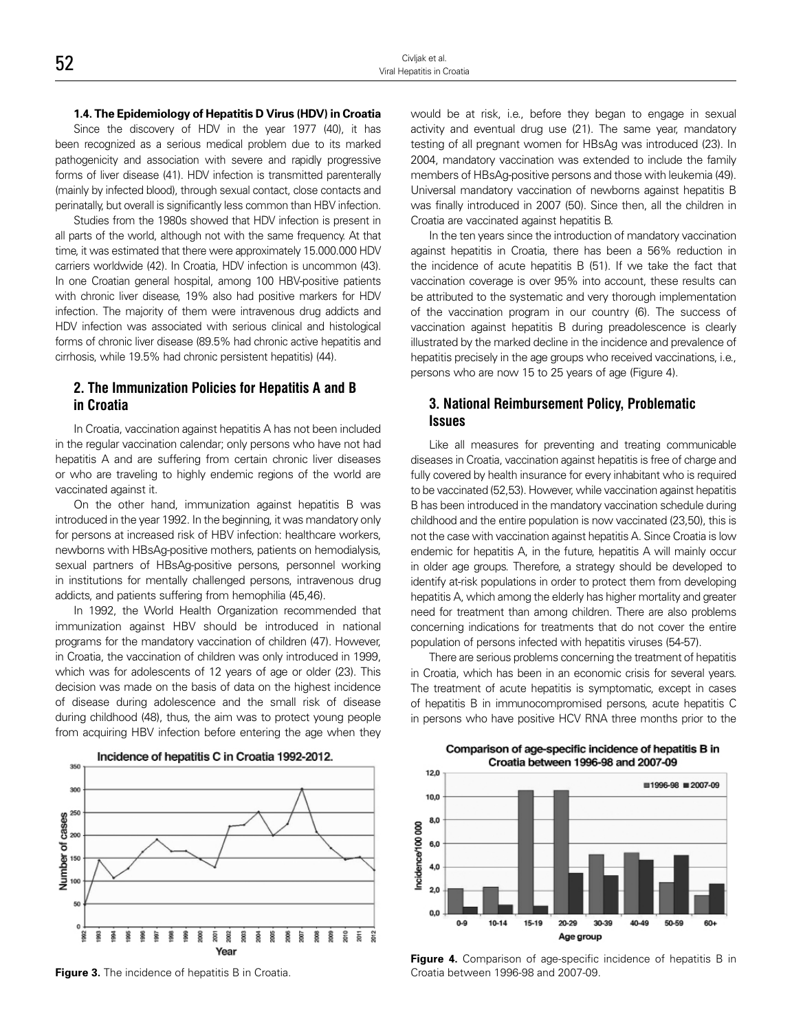Since the discovery of HDV in the year 1977 (40), it has been recognized as a serious medical problem due to its marked pathogenicity and association with severe and rapidly progressive forms of liver disease (41). HDV infection is transmitted parenterally (mainly by infected blood), through sexual contact, close contacts and perinatally, but overall is significantly less common than HBV infection.

Studies from the 1980s showed that HDV infection is present in all parts of the world, although not with the same frequency. At that time, it was estimated that there were approximately 15.000.000 HDV carriers worldwide (42). In Croatia, HDV infection is uncommon (43). In one Croatian general hospital, among 100 HBV-positive patients with chronic liver disease, 19% also had positive markers for HDV infection. The majority of them were intravenous drug addicts and HDV infection was associated with serious clinical and histological forms of chronic liver disease (89.5% had chronic active hepatitis and cirrhosis, while 19.5% had chronic persistent hepatitis) (44).

#### **2. The Immunization Policies for Hepatitis A and B in Croatia**

In Croatia, vaccination against hepatitis A has not been included in the regular vaccination calendar; only persons who have not had hepatitis A and are suffering from certain chronic liver diseases or who are traveling to highly endemic regions of the world are vaccinated against it.

On the other hand, immunization against hepatitis B was introduced in the year 1992. In the beginning, it was mandatory only for persons at increased risk of HBV infection: healthcare workers, newborns with HBsAg-positive mothers, patients on hemodialysis, sexual partners of HBsAg-positive persons, personnel working in institutions for mentally challenged persons, intravenous drug addicts, and patients suffering from hemophilia (45,46).

In 1992, the World Health Organization recommended that immunization against HBV should be introduced in national programs for the mandatory vaccination of children (47). However, in Croatia, the vaccination of children was only introduced in 1999, which was for adolescents of 12 years of age or older (23). This decision was made on the basis of data on the highest incidence of disease during adolescence and the small risk of disease during childhood (48), thus, the aim was to protect young people from acquiring HBV infection before entering the age when they would be at risk, i.e., before they began to engage in sexual activity and eventual drug use (21). The same year, mandatory testing of all pregnant women for HBsAg was introduced (23). In 2004, mandatory vaccination was extended to include the family members of HBsAg-positive persons and those with leukemia (49). Universal mandatory vaccination of newborns against hepatitis B was finally introduced in 2007 (50). Since then, all the children in Croatia are vaccinated against hepatitis B.

In the ten years since the introduction of mandatory vaccination against hepatitis in Croatia, there has been a 56% reduction in the incidence of acute hepatitis B (51). If we take the fact that vaccination coverage is over 95% into account, these results can be attributed to the systematic and very thorough implementation of the vaccination program in our country (6). The success of vaccination against hepatitis B during preadolescence is clearly illustrated by the marked decline in the incidence and prevalence of hepatitis precisely in the age groups who received vaccinations, i.e., persons who are now 15 to 25 years of age (Figure 4).

#### **3. National Reimbursement Policy, Problematic Issues**

Like all measures for preventing and treating communicable diseases in Croatia, vaccination against hepatitis is free of charge and fully covered by health insurance for every inhabitant who is required to be vaccinated (52,53). However, while vaccination against hepatitis B has been introduced in the mandatory vaccination schedule during childhood and the entire population is now vaccinated (23,50), this is not the case with vaccination against hepatitis A. Since Croatia is low endemic for hepatitis A, in the future, hepatitis A will mainly occur in older age groups. Therefore, a strategy should be developed to identify at-risk populations in order to protect them from developing hepatitis A, which among the elderly has higher mortality and greater need for treatment than among children. There are also problems concerning indications for treatments that do not cover the entire population of persons infected with hepatitis viruses (54-57).

There are serious problems concerning the treatment of hepatitis in Croatia, which has been in an economic crisis for several years. The treatment of acute hepatitis is symptomatic, except in cases of hepatitis B in immunocompromised persons, acute hepatitis C in persons who have positive HCV RNA three months prior to the



**Figure 3.** The incidence of hepatitis B in Croatia.

Comparison of age-specific incidence of hepatitis B in Croatia between 1996-98 and 2007-09



**Figure 4.** Comparison of age-specific incidence of hepatitis B in Croatia between 1996-98 and 2007-09.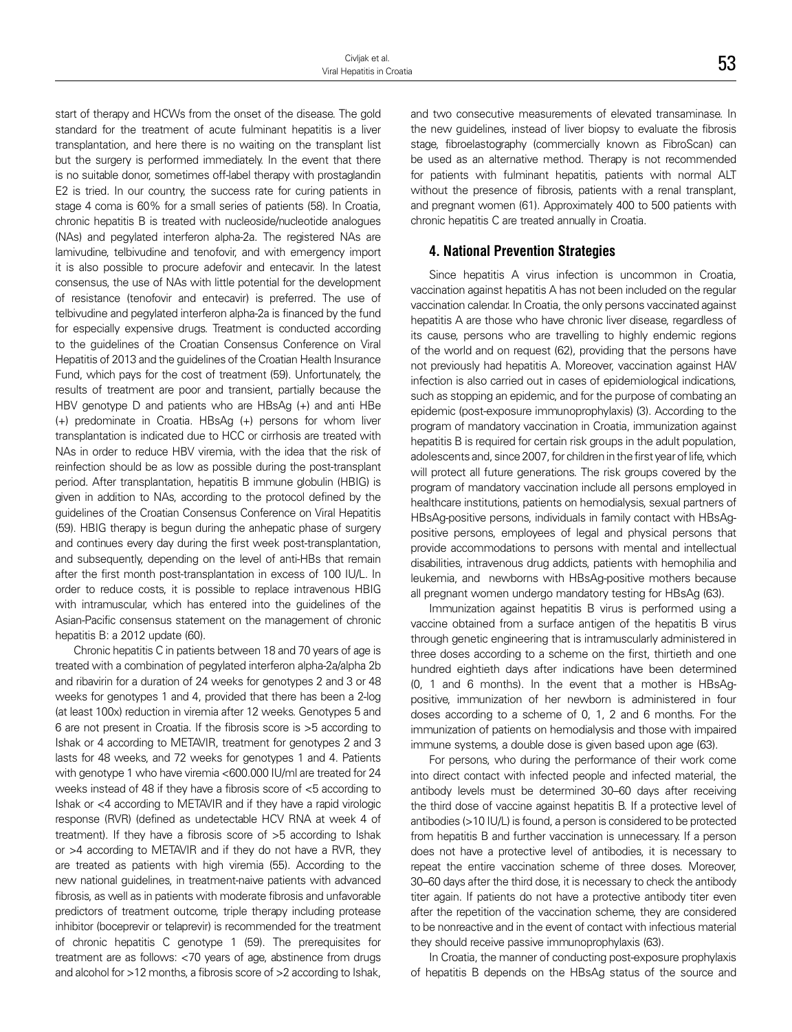start of therapy and HCWs from the onset of the disease. The gold standard for the treatment of acute fulminant hepatitis is a liver transplantation, and here there is no waiting on the transplant list but the surgery is performed immediately. In the event that there is no suitable donor, sometimes off-label therapy with prostaglandin E2 is tried. In our country, the success rate for curing patients in stage 4 coma is 60% for a small series of patients (58). In Croatia, chronic hepatitis B is treated with nucleoside/nucleotide analogues (NAs) and pegylated interferon alpha-2a. The registered NAs are lamivudine, telbivudine and tenofovir, and with emergency import it is also possible to procure adefovir and entecavir. In the latest consensus, the use of NAs with little potential for the development of resistance (tenofovir and entecavir) is preferred. The use of telbivudine and pegylated interferon alpha-2a is financed by the fund for especially expensive drugs. Treatment is conducted according to the guidelines of the Croatian Consensus Conference on Viral Hepatitis of 2013 and the guidelines of the Croatian Health Insurance Fund, which pays for the cost of treatment (59). Unfortunately, the results of treatment are poor and transient, partially because the HBV genotype D and patients who are HBsAg (+) and anti HBe (+) predominate in Croatia. HBsAg (+) persons for whom liver transplantation is indicated due to HCC or cirrhosis are treated with NAs in order to reduce HBV viremia, with the idea that the risk of reinfection should be as low as possible during the post-transplant period. After transplantation, hepatitis B immune globulin (HBIG) is given in addition to NAs, according to the protocol defined by the guidelines of the Croatian Consensus Conference on Viral Hepatitis (59). HBIG therapy is begun during the anhepatic phase of surgery and continues every day during the first week post-transplantation, and subsequently, depending on the level of anti-HBs that remain after the first month post-transplantation in excess of 100 IU/L. In order to reduce costs, it is possible to replace intravenous HBIG with intramuscular, which has entered into the guidelines of the Asian-Pacific consensus statement on the management of chronic hepatitis B: a 2012 update (60).

Chronic hepatitis C in patients between 18 and 70 years of age is treated with a combination of pegylated interferon alpha-2a/alpha 2b and ribavirin for a duration of 24 weeks for genotypes 2 and 3 or 48 weeks for genotypes 1 and 4, provided that there has been a 2-log (at least 100x) reduction in viremia after 12 weeks. Genotypes 5 and 6 are not present in Croatia. If the fibrosis score is >5 according to Ishak or 4 according to METAVIR, treatment for genotypes 2 and 3 lasts for 48 weeks, and 72 weeks for genotypes 1 and 4. Patients with genotype 1 who have viremia <600.000 IU/ml are treated for 24 weeks instead of 48 if they have a fibrosis score of <5 according to Ishak or <4 according to METAVIR and if they have a rapid virologic response (RVR) (defined as undetectable HCV RNA at week 4 of treatment). If they have a fibrosis score of >5 according to Ishak or >4 according to METAVIR and if they do not have a RVR, they are treated as patients with high viremia (55). According to the new national guidelines, in treatment-naive patients with advanced fibrosis, as well as in patients with moderate fibrosis and unfavorable predictors of treatment outcome, triple therapy including protease inhibitor (boceprevir or telaprevir) is recommended for the treatment of chronic hepatitis C genotype 1 (59). The prerequisites for treatment are as follows: <70 years of age, abstinence from drugs and alcohol for >12 months, a fibrosis score of >2 according to Ishak,

and two consecutive measurements of elevated transaminase. In the new guidelines, instead of liver biopsy to evaluate the fibrosis stage, fibroelastography (commercially known as FibroScan) can be used as an alternative method. Therapy is not recommended for patients with fulminant hepatitis, patients with normal ALT without the presence of fibrosis, patients with a renal transplant, and pregnant women (61). Approximately 400 to 500 patients with chronic hepatitis C are treated annually in Croatia.

#### **4. National Prevention Strategies**

Since hepatitis A virus infection is uncommon in Croatia, vaccination against hepatitis A has not been included on the regular vaccination calendar. In Croatia, the only persons vaccinated against hepatitis A are those who have chronic liver disease, regardless of its cause, persons who are travelling to highly endemic regions of the world and on request (62), providing that the persons have not previously had hepatitis A. Moreover, vaccination against HAV infection is also carried out in cases of epidemiological indications, such as stopping an epidemic, and for the purpose of combating an epidemic (post-exposure immunoprophylaxis) (3). According to the program of mandatory vaccination in Croatia, immunization against hepatitis B is required for certain risk groups in the adult population, adolescents and, since 2007, for children in the first year of life, which will protect all future generations. The risk groups covered by the program of mandatory vaccination include all persons employed in healthcare institutions, patients on hemodialysis, sexual partners of HBsAg-positive persons, individuals in family contact with HBsAgpositive persons, employees of legal and physical persons that provide accommodations to persons with mental and intellectual disabilities, intravenous drug addicts, patients with hemophilia and leukemia, and newborns with HBsAg-positive mothers because all pregnant women undergo mandatory testing for HBsAg (63).

Immunization against hepatitis B virus is performed using a vaccine obtained from a surface antigen of the hepatitis B virus through genetic engineering that is intramuscularly administered in three doses according to a scheme on the first, thirtieth and one hundred eightieth days after indications have been determined (0, 1 and 6 months). In the event that a mother is HBsAgpositive, immunization of her newborn is administered in four doses according to a scheme of 0, 1, 2 and 6 months. For the immunization of patients on hemodialysis and those with impaired immune systems, a double dose is given based upon age (63).

For persons, who during the performance of their work come into direct contact with infected people and infected material, the antibody levels must be determined 30–60 days after receiving the third dose of vaccine against hepatitis B. If a protective level of antibodies (>10 IU/L) is found, a person is considered to be protected from hepatitis B and further vaccination is unnecessary. If a person does not have a protective level of antibodies, it is necessary to repeat the entire vaccination scheme of three doses. Moreover, 30–60 days after the third dose, it is necessary to check the antibody titer again. If patients do not have a protective antibody titer even after the repetition of the vaccination scheme, they are considered to be nonreactive and in the event of contact with infectious material they should receive passive immunoprophylaxis (63).

In Croatia, the manner of conducting post-exposure prophylaxis of hepatitis B depends on the HBsAg status of the source and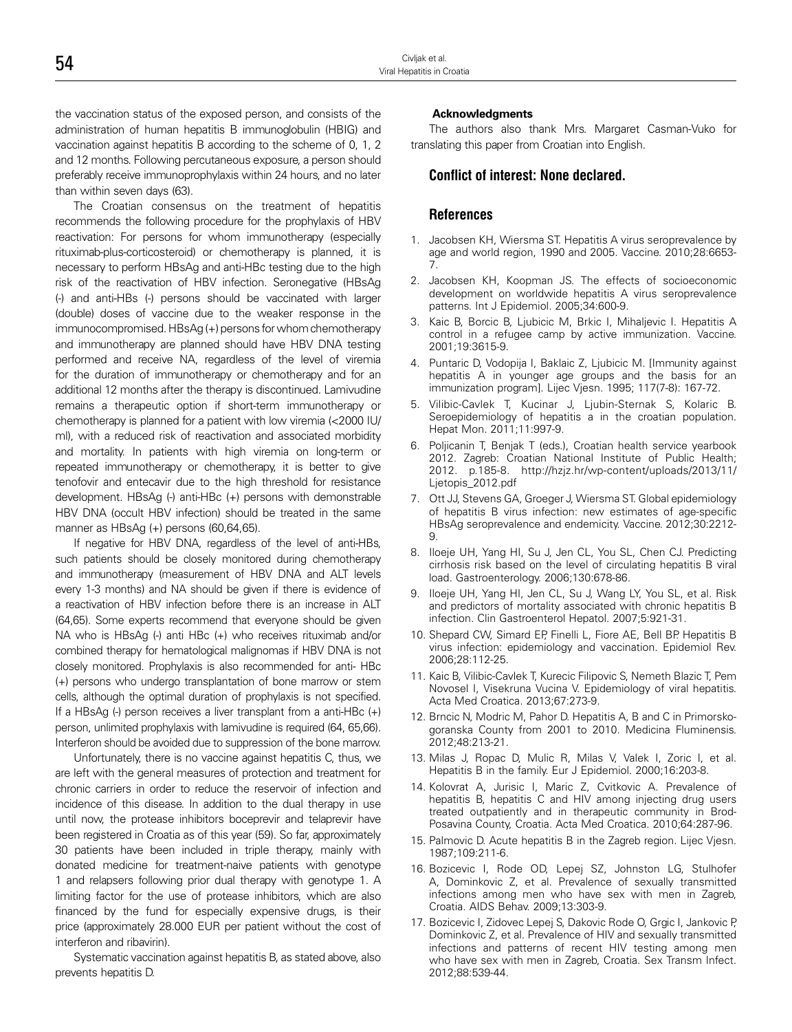the vaccination status of the exposed person, and consists of the administration of human hepatitis B immunoglobulin (HBIG) and vaccination against hepatitis B according to the scheme of 0, 1, 2 and 12 months. Following percutaneous exposure, a person should preferably receive immunoprophylaxis within 24 hours, and no later than within seven days (63).

The Croatian consensus on the treatment of hepatitis recommends the following procedure for the prophylaxis of HBV reactivation: For persons for whom immunotherapy (especially rituximab-plus-corticosteroid) or chemotherapy is planned, it is necessary to perform HBsAg and anti-HBc testing due to the high risk of the reactivation of HBV infection. Seronegative (HBsAg (-) and anti-HBs (-) persons should be vaccinated with larger (double) doses of vaccine due to the weaker response in the immunocompromised. HBsAg (+) persons for whom chemotherapy and immunotherapy are planned should have HBV DNA testing performed and receive NA, regardless of the level of viremia for the duration of immunotherapy or chemotherapy and for an additional 12 months after the therapy is discontinued. Lamivudine remains a therapeutic option if short-term immunotherapy or chemotherapy is planned for a patient with low viremia (<2000 IU/ ml), with a reduced risk of reactivation and associated morbidity and mortality. In patients with high viremia on long-term or repeated immunotherapy or chemotherapy, it is better to give tenofovir and entecavir due to the high threshold for resistance development. HBsAg (-) anti-HBc (+) persons with demonstrable HBV DNA (occult HBV infection) should be treated in the same manner as HBsAg (+) persons (60,64,65).

If negative for HBV DNA, regardless of the level of anti-HBs, such patients should be closely monitored during chemotherapy and immunotherapy (measurement of HBV DNA and ALT levels every 1-3 months) and NA should be given if there is evidence of a reactivation of HBV infection before there is an increase in ALT (64,65). Some experts recommend that everyone should be given NA who is HBsAg (-) anti HBc (+) who receives rituximab and/or combined therapy for hematological malignomas if HBV DNA is not closely monitored. Prophylaxis is also recommended for anti- HBc (+) persons who undergo transplantation of bone marrow or stem cells, although the optimal duration of prophylaxis is not specified. If a HBsAg (-) person receives a liver transplant from a anti-HBc (+) person, unlimited prophylaxis with lamivudine is required (64, 65,66). Interferon should be avoided due to suppression of the bone marrow.

Unfortunately, there is no vaccine against hepatitis C, thus, we are left with the general measures of protection and treatment for chronic carriers in order to reduce the reservoir of infection and incidence of this disease. In addition to the dual therapy in use until now, the protease inhibitors boceprevir and telaprevir have been registered in Croatia as of this year (59). So far, approximately 30 patients have been included in triple therapy, mainly with donated medicine for treatment-naive patients with genotype 1 and relapsers following prior dual therapy with genotype 1. A limiting factor for the use of protease inhibitors, which are also financed by the fund for especially expensive drugs, is their price (approximately 28.000 EUR per patient without the cost of interferon and ribavirin).

Systematic vaccination against hepatitis B, as stated above, also prevents hepatitis D.

#### **Acknowledgments**

The authors also thank Mrs. Margaret Casman-Vuko for translating this paper from Croatian into English.

#### **Conflict of interest: None declared.**

#### **References**

- 1. Jacobsen KH, Wiersma ST. Hepatitis A virus seroprevalence by age and world region, 1990 and 2005. Vaccine. 2010;28:6653- 7.
- 2. Jacobsen KH, Koopman JS. The effects of socioeconomic development on worldwide hepatitis A virus seroprevalence patterns. Int J Epidemiol. 2005;34:600-9.
- 3. Kaic B, Borcic B, Ljubicic M, Brkic I, Mihaljevic I. Hepatitis A control in a refugee camp by active immunization. Vaccine. 2001;19:3615-9.
- 4. Puntaric D, Vodopija I, Baklaic Z, Ljubicic M. [Immunity against hepatitis A in younger age groups and the basis for an immunization program]. Lijec Vjesn. 1995; 117(7-8): 167-72.
- 5. Vilibic-Cavlek T, Kucinar J, Ljubin-Sternak S, Kolaric B. Seroepidemiology of hepatitis a in the croatian population. Hepat Mon. 2011;11:997-9.
- 6. Poljicanin T, Benjak T (eds.), Croatian health service yearbook 2012. Zagreb: Croatian National Institute of Public Health; 2012. p.185-8. http://hzjz.hr/wp-content/uploads/2013/11/ Ljetopis\_2012.pdf
- 7. Ott JJ, Stevens GA, Groeger J, Wiersma ST. Global epidemiology of hepatitis B virus infection: new estimates of age-specific HBsAg seroprevalence and endemicity. Vaccine. 2012;30:2212- 9.
- 8. Iloeje UH, Yang HI, Su J, Jen CL, You SL, Chen CJ. Predicting cirrhosis risk based on the level of circulating hepatitis B viral load. Gastroenterology. 2006;130:678-86.
- 9. Iloeje UH, Yang HI, Jen CL, Su J, Wang LY, You SL, et al. Risk and predictors of mortality associated with chronic hepatitis B infection. Clin Gastroenterol Hepatol. 2007;5:921-31.
- 10. Shepard CW, Simard EP, Finelli L, Fiore AE, Bell BP. Hepatitis B virus infection: epidemiology and vaccination. Epidemiol Rev. 2006;28:112-25.
- 11. Kaic B, Vilibic-Cavlek T, Kurecic Filipovic S, Nemeth Blazic T, Pem Novosel I, Visekruna Vucina V. Epidemiology of viral hepatitis. Acta Med Croatica. 2013;67:273-9.
- 12. Brncic N, Modric M, Pahor D. Hepatitis A, B and C in Primorskogoranska County from 2001 to 2010. Medicina Fluminensis. 2012;48:213-21.
- 13. Milas J, Ropac D, Mulic R, Milas V, Valek I, Zoric I, et al. Hepatitis B in the family. Eur J Epidemiol. 2000;16:203-8.
- 14. Kolovrat A, Jurisic I, Maric Z, Cvitkovic A. Prevalence of hepatitis B, hepatitis C and HIV among injecting drug users treated outpatiently and in therapeutic community in Brod-Posavina County, Croatia. Acta Med Croatica. 2010;64:287-96.
- 15. Palmovic D. Acute hepatitis B in the Zagreb region. Lijec Vjesn. 1987;109:211-6.
- 16. Bozicevic I, Rode OD, Lepej SZ, Johnston LG, Stulhofer A, Dominkovic Z, et al. Prevalence of sexually transmitted infections among men who have sex with men in Zagreb, Croatia. AIDS Behav. 2009;13:303-9.
- 17. Bozicevic I, Zidovec Lepej S, Dakovic Rode O, Grgic I, Jankovic P, Dominkovic Z, et al. Prevalence of HIV and sexually transmitted infections and patterns of recent HIV testing among men who have sex with men in Zagreb, Croatia. Sex Transm Infect. 2012;88:539-44.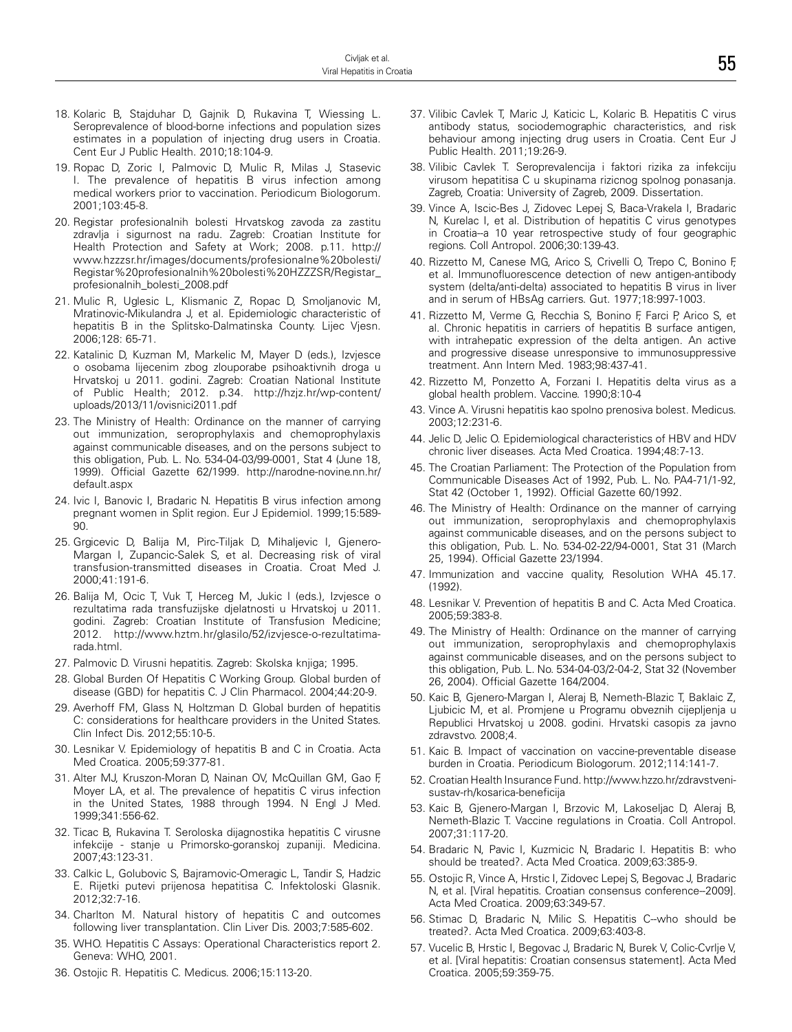- 18. Kolaric B, Stajduhar D, Gajnik D, Rukavina T, Wiessing L. Seroprevalence of blood-borne infections and population sizes estimates in a population of injecting drug users in Croatia. Cent Eur J Public Health. 2010;18:104-9.
- 19. Ropac D, Zoric I, Palmovic D, Mulic R, Milas J, Stasevic I. The prevalence of hepatitis B virus infection among medical workers prior to vaccination. Periodicum Biologorum. 2001;103:45-8.
- 20. Registar profesionalnih bolesti Hrvatskog zavoda za zastitu zdravlja i sigurnost na radu. Zagreb: Croatian Institute for Health Protection and Safety at Work; 2008. p.11. http:// www.hzzzsr.hr/images/documents/profesionalne%20bolesti/ Registar%20profesionalnih%20bolesti%20HZZZSR/Registar\_ profesionalnih\_bolesti\_2008.pdf
- 21. Mulic R, Uglesic L, Klismanic Z, Ropac D, Smoljanovic M, Mratinovic-Mikulandra J, et al. Epidemiologic characteristic of hepatitis B in the Splitsko-Dalmatinska County. Lijec Vjesn. 2006;128: 65-71.
- 22. Katalinic D, Kuzman M, Markelic M, Mayer D (eds.), Izvjesce o osobama lijecenim zbog zlouporabe psihoaktivnih droga u Hrvatskoj u 2011. godini. Zagreb: Croatian National Institute of Public Health; 2012. p.34. http://hzjz.hr/wp-content/ uploads/2013/11/ovisnici2011.pdf
- 23. The Ministry of Health: Ordinance on the manner of carrying out immunization, seroprophylaxis and chemoprophylaxis against communicable diseases, and on the persons subject to this obligation, Pub. L. No. 534-04-03/99-0001, Stat 4 (June 18, 1999). Official Gazette 62/1999. http://narodne-novine.nn.hr/ default.aspx
- 24. Ivic I, Banovic I, Bradaric N. Hepatitis B virus infection among pregnant women in Split region. Eur J Epidemiol. 1999;15:589- 90.
- 25. Grgicevic D, Balija M, Pirc-Tiljak D, Mihaljevic I, Gjenero-Margan I, Zupancic-Salek S, et al. Decreasing risk of viral transfusion-transmitted diseases in Croatia. Croat Med J. 2000;41:191-6.
- 26. Balija M, Ocic T, Vuk T, Herceg M, Jukic I (eds.), Izvjesce o rezultatima rada transfuzijske djelatnosti u Hrvatskoj u 2011. godini. Zagreb: Croatian Institute of Transfusion Medicine; 2012. http://www.hztm.hr/glasilo/52/izvjesce-o-rezultatimarada.html.
- 27. Palmovic D. Virusni hepatitis. Zagreb: Skolska knjiga; 1995.
- 28. Global Burden Of Hepatitis C Working Group. Global burden of disease (GBD) for hepatitis C. J Clin Pharmacol. 2004;44:20-9.
- 29. Averhoff FM, Glass N, Holtzman D. Global burden of hepatitis C: considerations for healthcare providers in the United States. Clin Infect Dis. 2012;55:10-5.
- 30. Lesnikar V. Epidemiology of hepatitis B and C in Croatia. Acta Med Croatica. 2005;59:377-81.
- 31. Alter MJ, Kruszon-Moran D, Nainan OV, McQuillan GM, Gao F, Moyer LA, et al. The prevalence of hepatitis C virus infection in the United States, 1988 through 1994. N Engl J Med. 1999;341:556-62.
- 32. Ticac B, Rukavina T. Seroloska dijagnostika hepatitis C virusne infekcije - stanje u Primorsko-goranskoj zupaniji. Medicina. 2007;43:123-31.
- 33. Calkic L, Golubovic S, Bajramovic-Omeragic L, Tandir S, Hadzic E. Rijetki putevi prijenosa hepatitisa C. Infektoloski Glasnik. 2012;32:7-16.
- 34. Charlton M. Natural history of hepatitis C and outcomes following liver transplantation. Clin Liver Dis. 2003;7:585-602.
- 35. WHO. Hepatitis C Assays: Operational Characteristics report 2. Geneva: WHO, 2001.
- 36. Ostojic R. Hepatitis C. Medicus. 2006;15:113-20.
- 37. Vilibic Cavlek T, Maric J, Katicic L, Kolaric B. Hepatitis C virus antibody status, sociodemographic characteristics, and risk behaviour among injecting drug users in Croatia. Cent Eur J Public Health. 2011;19:26-9.
- 38. Vilibic Cavlek T. Seroprevalencija i faktori rizika za infekciju virusom hepatitisa C u skupinama rizicnog spolnog ponasanja. Zagreb, Croatia: University of Zagreb, 2009. Dissertation.
- 39. Vince A, Iscic-Bes J, Zidovec Lepej S, Baca-Vrakela I, Bradaric N, Kurelac I, et al. Distribution of hepatitis C virus genotypes in Croatia--a 10 year retrospective study of four geographic regions. Coll Antropol. 2006;30:139-43.
- 40. Rizzetto M, Canese MG, Arico S, Crivelli O, Trepo C, Bonino F, et al. Immunofluorescence detection of new antigen-antibody system (delta/anti-delta) associated to hepatitis B virus in liver and in serum of HBsAg carriers. Gut. 1977;18:997-1003.
- 41. Rizzetto M, Verme G, Recchia S, Bonino F, Farci P, Arico S, et al. Chronic hepatitis in carriers of hepatitis B surface antigen, with intrahepatic expression of the delta antigen. An active and progressive disease unresponsive to immunosuppressive treatment. Ann Intern Med. 1983;98:437-41.
- 42. Rizzetto M, Ponzetto A, Forzani I. Hepatitis delta virus as a global health problem. Vaccine. 1990;8:10-4
- 43. Vince A. Virusni hepatitis kao spolno prenosiva bolest. Medicus. 2003;12:231-6.
- 44. Jelic D, Jelic O. Epidemiological characteristics of HBV and HDV chronic liver diseases. Acta Med Croatica. 1994;48:7-13.
- 45. The Croatian Parliament: The Protection of the Population from Communicable Diseases Act of 1992, Pub. L. No. PA4-71/1-92, Stat 42 (October 1, 1992). Official Gazette 60/1992.
- 46. The Ministry of Health: Ordinance on the manner of carrying out immunization, seroprophylaxis and chemoprophylaxis against communicable diseases, and on the persons subject to this obligation, Pub. L. No. 534-02-22/94-0001, Stat 31 (March 25, 1994). Official Gazette 23/1994.
- 47. Immunization and vaccine quality, Resolution WHA 45.17. (1992).
- 48. Lesnikar V. Prevention of hepatitis B and C. Acta Med Croatica. 2005;59:383-8.
- 49. The Ministry of Health: Ordinance on the manner of carrying out immunization, seroprophylaxis and chemoprophylaxis against communicable diseases, and on the persons subject to this obligation, Pub. L. No. 534-04-03/2-04-2, Stat 32 (November 26, 2004). Official Gazette 164/2004.
- 50. Kaic B, Gjenero-Margan I, Aleraj B, Nemeth-Blazic T, Baklaic Z, Ljubicic M, et al. Promjene u Programu obveznih cijepljenja u Republici Hrvatskoj u 2008. godini. Hrvatski casopis za javno zdravstvo. 2008;4.
- 51. Kaic B. Impact of vaccination on vaccine-preventable disease burden in Croatia. Periodicum Biologorum. 2012;114:141-7.
- 52. Croatian Health Insurance Fund. http://www.hzzo.hr/zdravstvenisustav-rh/kosarica-beneficija
- 53. Kaic B, Gjenero-Margan I, Brzovic M, Lakoseljac D, Aleraj B, Nemeth-Blazic T. Vaccine regulations in Croatia. Coll Antropol. 2007;31:117-20.
- 54. Bradaric N, Pavic I, Kuzmicic N, Bradaric I. Hepatitis B: who should be treated?. Acta Med Croatica. 2009;63:385-9.
- 55. Ostojic R, Vince A, Hrstic I, Zidovec Lepej S, Begovac J, Bradaric N, et al. [Viral hepatitis. Croatian consensus conference--2009]. Acta Med Croatica. 2009;63:349-57.
- 56. Stimac D, Bradaric N, Milic S. Hepatitis C--who should be treated?. Acta Med Croatica. 2009;63:403-8.
- 57. Vucelic B, Hrstic I, Begovac J, Bradaric N, Burek V, Colic-Cvrlje V, et al. [Viral hepatitis: Croatian consensus statement]. Acta Med Croatica. 2005;59:359-75.